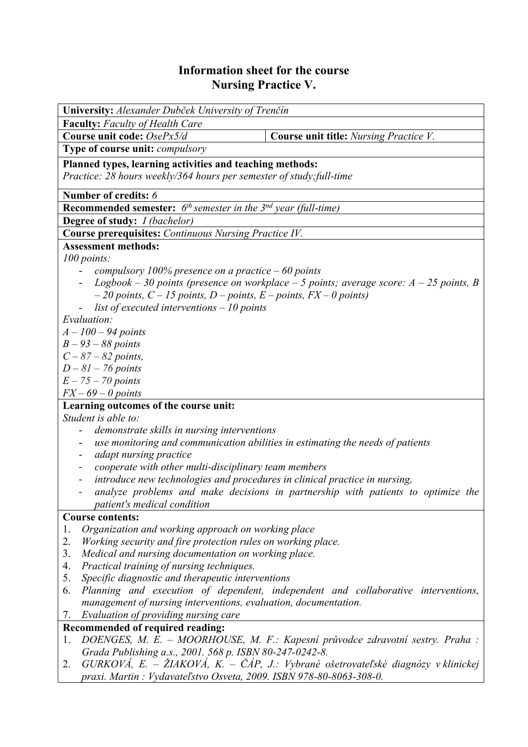## **Information sheet for the course Nursing Practice V.**

| University: Alexander Dubček University of Trenčín                                                           |                                                                                  |  |  |  |  |
|--------------------------------------------------------------------------------------------------------------|----------------------------------------------------------------------------------|--|--|--|--|
| <b>Faculty:</b> Faculty of Health Care                                                                       |                                                                                  |  |  |  |  |
| Course unit code: OsePx5/d                                                                                   | Course unit title: Nursing Practice V.                                           |  |  |  |  |
| Type of course unit: compulsory                                                                              |                                                                                  |  |  |  |  |
| Planned types, learning activities and teaching methods:                                                     |                                                                                  |  |  |  |  |
| Practice: 28 hours weekly/364 hours per semester of study; full-time                                         |                                                                                  |  |  |  |  |
| Number of credits: 6                                                                                         |                                                                                  |  |  |  |  |
| <b>Recommended semester:</b> $6^{th}$ semester in the $3^{nd}$ year (full-time)                              |                                                                                  |  |  |  |  |
| <b>Degree of study:</b> <i>I (bachelor)</i>                                                                  |                                                                                  |  |  |  |  |
| <b>Course prerequisites:</b> Continuous Nursing Practice IV.                                                 |                                                                                  |  |  |  |  |
| <b>Assessment methods:</b>                                                                                   |                                                                                  |  |  |  |  |
| 100 points:                                                                                                  |                                                                                  |  |  |  |  |
| compulsory 100% presence on a practice $-60$ points                                                          |                                                                                  |  |  |  |  |
| Logbook - 30 points (presence on workplace - 5 points; average score: $A - 25$ points, B                     |                                                                                  |  |  |  |  |
| $-20$ points, $C - 15$ points, $D$ – points, $E$ – points, $FX - 0$ points)                                  |                                                                                  |  |  |  |  |
| list of executed interventions $-10$ points                                                                  |                                                                                  |  |  |  |  |
| Evaluation:                                                                                                  |                                                                                  |  |  |  |  |
| $A - 100 - 94$ points                                                                                        |                                                                                  |  |  |  |  |
| $B - 93 - 88$ points                                                                                         |                                                                                  |  |  |  |  |
| $C - 87 - 82$ points,                                                                                        |                                                                                  |  |  |  |  |
| $D-81-76$ points                                                                                             |                                                                                  |  |  |  |  |
| $E - 75 - 70$ points                                                                                         |                                                                                  |  |  |  |  |
| $FX - 69 - 0$ points                                                                                         |                                                                                  |  |  |  |  |
| Learning outcomes of the course unit:                                                                        |                                                                                  |  |  |  |  |
| Student is able to:                                                                                          |                                                                                  |  |  |  |  |
| demonstrate skills in nursing interventions<br>۰                                                             |                                                                                  |  |  |  |  |
|                                                                                                              | use monitoring and communication abilities in estimating the needs of patients   |  |  |  |  |
| adapt nursing practice<br>-                                                                                  |                                                                                  |  |  |  |  |
| cooperate with other multi-disciplinary team members<br>-                                                    |                                                                                  |  |  |  |  |
| introduce new technologies and procedures in clinical practice in nursing,                                   |                                                                                  |  |  |  |  |
|                                                                                                              | analyze problems and make decisions in partnership with patients to optimize the |  |  |  |  |
| patient's medical condition                                                                                  |                                                                                  |  |  |  |  |
| <b>Course contents:</b>                                                                                      |                                                                                  |  |  |  |  |
| Organization and working approach on working place<br>1.<br>2.                                               |                                                                                  |  |  |  |  |
| Working security and fire protection rules on working place.                                                 |                                                                                  |  |  |  |  |
| 3.<br>Medical and nursing documentation on working place.<br>Practical training of nursing techniques.<br>4. |                                                                                  |  |  |  |  |
| 5.<br>Specific diagnostic and therapeutic interventions                                                      |                                                                                  |  |  |  |  |
| Planning and execution of dependent, independent and collaborative interventions,<br>6.                      |                                                                                  |  |  |  |  |
| management of nursing interventions, evaluation, documentation.                                              |                                                                                  |  |  |  |  |
| Evaluation of providing nursing care<br>7.                                                                   |                                                                                  |  |  |  |  |
| Recommended of required reading:                                                                             |                                                                                  |  |  |  |  |
| 1.                                                                                                           | DOENGES, M. E. - MOORHOUSE, M. F.: Kapesní průvodce zdravotní sestry. Praha :    |  |  |  |  |
| Grada Publishing a.s., 2001. 568 p. ISBN 80-247-0242-8.                                                      |                                                                                  |  |  |  |  |
| $GURKOVA$ , E. – ŽIAKOVÁ, K. – ČÁP, J.: Vybrané ošetrovateľské diagnózy v klinickej<br>2.                    |                                                                                  |  |  |  |  |
| praxi. Martin: Vydavateľstvo Osveta, 2009. ISBN 978-80-8063-308-0.                                           |                                                                                  |  |  |  |  |